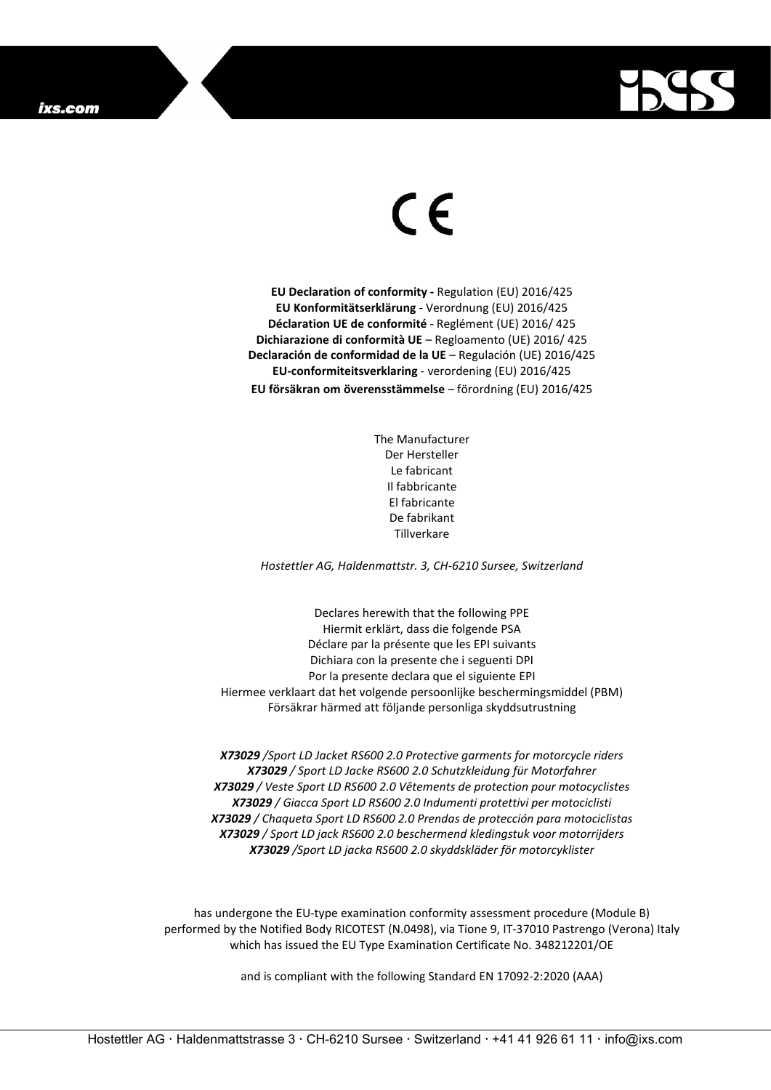

## $\epsilon$

**EU Declaration of conformity -** Regulation (EU) 2016/425 **EU Konformitätserklärung** - Verordnung (EU) 2016/425 **Déclaration UE de conformité** - Reglément (UE) 2016/ 425 **Dichiarazione di conformità UE** – Regloamento (UE) 2016/ 425 **Declaración de conformidad de la UE** – Regulación (UE) 2016/425 **EU-conformiteitsverklaring** - verordening (EU) 2016/425 **EU försäkran om överensstämmelse** – förordning (EU) 2016/425

> The Manufacturer Der Hersteller Le fabricant Il fabbricante El fabricante De fabrikant Tillverkare

*Hostettler AG, Haldenmattstr. 3, CH-6210 Sursee, Switzerland*

Declares herewith that the following PPE Hiermit erklärt, dass die folgende PSA Déclare par la présente que les EPI suivants Dichiara con la presente che i seguenti DPI Por la presente declara que el siguiente EPI Hiermee verklaart dat het volgende persoonlijke beschermingsmiddel (PBM) Försäkrar härmed att följande personliga skyddsutrustning

*X73029 /Sport LD Jacket RS600 2.0 Protective garments for motorcycle riders X73029 / Sport LD Jacke RS600 2.0 Schutzkleidung für Motorfahrer X73029 / Veste Sport LD RS600 2.0 Vêtements de protection pour motocyclistes X73029 / Giacca Sport LD RS600 2.0 Indumenti protettivi per motociclisti X73029 / Chaqueta Sport LD RS600 2.0 Prendas de protección para motociclistas X73029 / Sport LD jack RS600 2.0 beschermend kledingstuk voor motorrijders X73029 /Sport LD jacka RS600 2.0 skyddskläder för motorcyklister*

has undergone the EU-type examination conformity assessment procedure (Module B) performed by the Notified Body RICOTEST (N.0498), via Tione 9, IT-37010 Pastrengo (Verona) Italy which has issued the EU Type Examination Certificate No. 348212201/OE

and is compliant with the following Standard EN 17092-2:2020 (AAA)